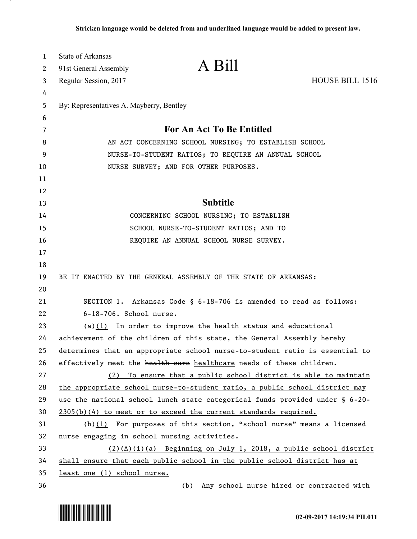| 1        | State of Arkansas                            | A Bill                                                                       |                 |
|----------|----------------------------------------------|------------------------------------------------------------------------------|-----------------|
| 2        | 91st General Assembly                        |                                                                              |                 |
| 3        | Regular Session, 2017                        |                                                                              | HOUSE BILL 1516 |
| 4        |                                              |                                                                              |                 |
| 5        | By: Representatives A. Mayberry, Bentley     |                                                                              |                 |
| 6        |                                              |                                                                              |                 |
| 7        |                                              | For An Act To Be Entitled                                                    |                 |
| 8        |                                              | AN ACT CONCERNING SCHOOL NURSING; TO ESTABLISH SCHOOL                        |                 |
| 9        |                                              | NURSE-TO-STUDENT RATIOS; TO REQUIRE AN ANNUAL SCHOOL                         |                 |
| 10       |                                              | NURSE SURVEY; AND FOR OTHER PURPOSES.                                        |                 |
| 11       |                                              |                                                                              |                 |
| 12<br>13 |                                              | <b>Subtitle</b>                                                              |                 |
| 14       |                                              | CONCERNING SCHOOL NURSING; TO ESTABLISH                                      |                 |
| 15       |                                              | SCHOOL NURSE-TO-STUDENT RATIOS; AND TO                                       |                 |
| 16       |                                              | REQUIRE AN ANNUAL SCHOOL NURSE SURVEY.                                       |                 |
| 17       |                                              |                                                                              |                 |
| 18       |                                              |                                                                              |                 |
| 19       |                                              | BE IT ENACTED BY THE GENERAL ASSEMBLY OF THE STATE OF ARKANSAS:              |                 |
| 20       |                                              |                                                                              |                 |
| 21       |                                              | SECTION 1. Arkansas Code § 6-18-706 is amended to read as follows:           |                 |
| 22       | 6-18-706. School nurse.                      |                                                                              |                 |
| 23       |                                              | (a) $(1)$ In order to improve the health status and educational              |                 |
| 24       |                                              | achievement of the children of this state, the General Assembly hereby       |                 |
| 25       |                                              | determines that an appropriate school nurse-to-student ratio is essential to |                 |
| 26       |                                              | effectively meet the health care healthcare needs of these children.         |                 |
| 27       | (2)                                          | To ensure that a public school district is able to maintain                  |                 |
| 28       |                                              | the appropriate school nurse-to-student ratio, a public school district may  |                 |
| 29       |                                              | use the national school lunch state categorical funds provided under § 6-20- |                 |
| 30       |                                              | $2305(b)(4)$ to meet or to exceed the current standards required.            |                 |
| 31       |                                              | $(b)(1)$ For purposes of this section, "school nurse" means a licensed       |                 |
| 32       | nurse engaging in school nursing activities. |                                                                              |                 |
| 33       |                                              | $(2)(A)(i)(a)$ Beginning on July 1, 2018, a public school district           |                 |
| 34       |                                              | shall ensure that each public school in the public school district has at    |                 |
| 35       | least one (1) school nurse.                  |                                                                              |                 |
| 36       |                                              | (b) Any school nurse hired or contracted with                                |                 |



.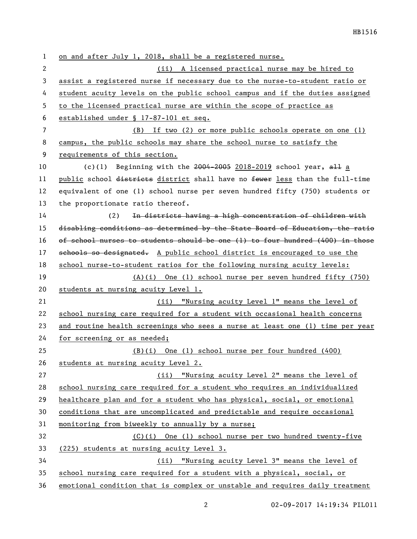on and after July 1, 2018, shall be a registered nurse. (ii) A licensed practical nurse may be hired to assist a registered nurse if necessary due to the nurse-to-student ratio or student acuity levels on the public school campus and if the duties assigned to the licensed practical nurse are within the scope of practice as established under § 17-87-101 et seq. (B) If two (2) or more public schools operate on one (1) campus, the public schools may share the school nurse to satisfy the requirements of this section. 10 (c)(1) Beginning with the  $2004-2005$  2018-2019 school year,  $aH$  a 11 public school districts district shall have no fewer less than the full-time equivalent of one (1) school nurse per seven hundred fifty (750) students or the proportionate ratio thereof. (2) In districts having a high concentration of children with disabling conditions as determined by the State Board of Education, the ratio of school nurses to students should be one (1) to four hundred (400) in those 17 schools so designated. A public school district is encouraged to use the school nurse-to-student ratios for the following nursing acuity levels: (A)(i) One (1) school nurse per seven hundred fifty (750) students at nursing acuity Level 1. (ii) "Nursing acuity Level 1" means the level of school nursing care required for a student with occasional health concerns and routine health screenings who sees a nurse at least one (1) time per year for screening or as needed; 25 (B)(i) One (1) school nurse per four hundred (400) students at nursing acuity Level 2. (ii) "Nursing acuity Level 2" means the level of school nursing care required for a student who requires an individualized healthcare plan and for a student who has physical, social, or emotional conditions that are uncomplicated and predictable and require occasional monitoring from biweekly to annually by a nurse; (C)(i) One (1) school nurse per two hundred twenty-five (225) students at nursing acuity Level 3. (ii) "Nursing acuity Level 3" means the level of school nursing care required for a student with a physical, social, or emotional condition that is complex or unstable and requires daily treatment

02-09-2017 14:19:34 PIL011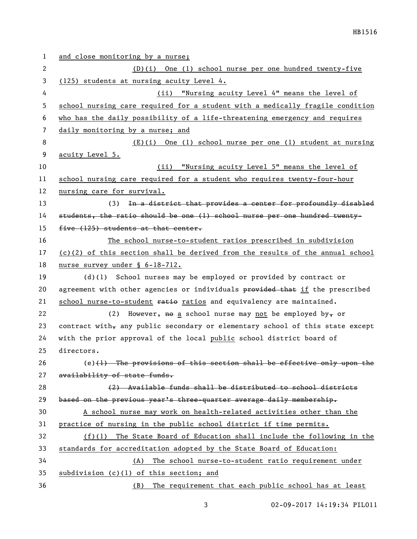| 1                     | and close monitoring by a nurse;                                                |
|-----------------------|---------------------------------------------------------------------------------|
| $\mathbf{2}^{\prime}$ | $(D)(i)$ One (1) school nurse per one hundred twenty-five                       |
| 3                     | (125) students at nursing acuity Level 4.                                       |
| 4                     | "Nursing acuity Level 4" means the level of<br>(ii)                             |
| 5                     | school nursing care required for a student with a medically fragile condition   |
| 6                     | who has the daily possibility of a life-threatening emergency and requires      |
| 7                     | daily monitoring by a nurse; and                                                |
| 8                     | $(E)(i)$ One (1) school nurse per one (1) student at nursing                    |
| 9                     | acuity Level 5.                                                                 |
| 10                    | "Nursing acuity Level 5" means the level of<br>(ii)                             |
| 11                    | school nursing care required for a student who requires twenty-four-hour        |
| 12                    | nursing care for survival.                                                      |
| 13                    | In a district that provides a center for profoundly disabled<br>(3)             |
| 14                    | students, the ratio should be one (1) school nurse per one hundred twenty-      |
| 15                    | five (125) students at that center.                                             |
| 16                    | The school nurse-to-student ratios prescribed in subdivision                    |
| 17                    | $(c)(2)$ of this section shall be derived from the results of the annual school |
| 18                    | nurse survey under § 6-18-712.                                                  |
| 19                    | (d)(l) School nurses may be employed or provided by contract or                 |
| 20                    | agreement with other agencies or individuals provided that if the prescribed    |
| 21                    | school nurse-to-student ratio ratios and equivalency are maintained.            |
| 22                    | (2) However, <del>no</del> a school nurse may not be employed by, or            |
| 23                    | contract with, any public secondary or elementary school of this state except   |
| 24                    | with the prior approval of the local public school district board of            |
| 25                    | directors.                                                                      |
| 26                    | $(e)$ (1) The provisions of this section shall be effective only upon the       |
| 27                    | availability of state funds.                                                    |
| 28                    | (2) Available funds shall be distributed to school districts                    |
| 29                    | based on the previous year's three quarter average daily membership.            |
| 30                    | A school nurse may work on health-related activities other than the             |
| 31                    | practice of nursing in the public school district if time permits.              |
| 32                    | $(f)(1)$ The State Board of Education shall include the following in the        |
| 33                    | standards for accreditation adopted by the State Board of Education:            |
| 34                    | The school nurse-to-student ratio requirement under<br>(A)                      |
| 35                    | subdivision (c)(1) of this section; and                                         |
| 36                    | The requirement that each public school has at least<br>(B)                     |

3 02-09-2017 14:19:34 PIL011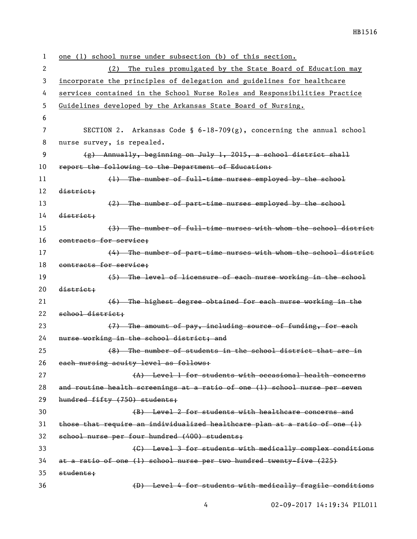| 1              | one (1) school nurse under subsection (b) of this section.                 |
|----------------|----------------------------------------------------------------------------|
| 2              | The rules promulgated by the State Board of Education may<br>(2)           |
| 3              | incorporate the principles of delegation and guidelines for healthcare     |
| 4              | services contained in the School Nurse Roles and Responsibilities Practice |
| 5              | Guidelines developed by the Arkansas State Board of Nursing.               |
| 6              |                                                                            |
| $\overline{7}$ | SECTION 2. Arkansas Code § $6-18-709(g)$ , concerning the annual school    |
| 8              | nurse survey, is repealed.                                                 |
| 9              | $(g)$ Annually, beginning on July 1, 2015, a school district shall         |
| 10             | report the following to the Department of Education:                       |
| 11             | (1) The number of full-time nurses employed by the school                  |
| 12             | district;                                                                  |
| 13             | (2) The number of part-time nurses employed by the school                  |
| 14             | district;                                                                  |
| 15             | (3) The number of full-time nurses with whom the school district           |
| 16             | contracts for service;                                                     |
| 17             | (4) The number of part-time nurses with whom the school district           |
| 18             | contracts for service;                                                     |
| 19             | (5) The level of licensure of each nurse working in the school             |
| 20             | district;                                                                  |
| 21             | (6) The highest degree obtained for each nurse working in the              |
| 22             | school district;                                                           |
| 23             | (7) The amount of pay, including source of funding, for each               |
| 24             | nurse working in the school district; and                                  |
| 25             | (8) The number of students in the school district that are in              |
| 26             | each nursing acuity level as follows:                                      |
| 27             | (A) Level 1 for students with occasional health concerns                   |
| 28             | and routine health screenings at a ratio of one (1) school nurse per seven |
| 29             | hundred fifty (750) students;                                              |
| 30             | (B) Level 2 for students with healthcare concerns and                      |
| 31             | those that require an individualized healthcare plan at a ratio of one (1) |
| 32             | school nurse per four hundred (400) students;                              |
| 33             | (C) Level 3 for students with medically complex conditions                 |
| 34             | at a ratio of one (1) school nurse per two hundred twenty-five (225)       |
| 35             | students;                                                                  |
| 36             | (D) Level 4 for students with medically fragile conditions                 |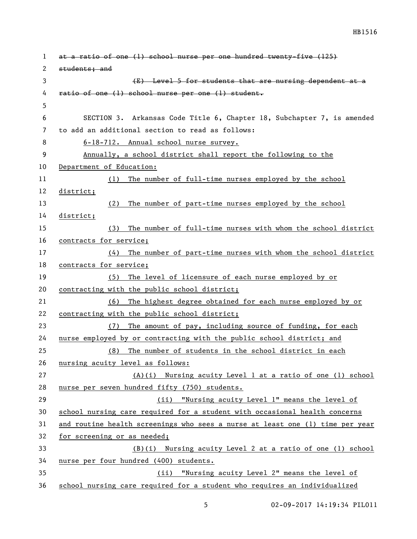| $\mathbf{1}$ | at a ratio of one (1) school nurse per one hundred twenty-five (125)          |  |
|--------------|-------------------------------------------------------------------------------|--|
| 2            | students; and                                                                 |  |
| 3            | (E) Level 5 for students that are nursing dependent at a                      |  |
| 4            | ratio of one (1) school nurse per one (1) student.                            |  |
| 5            |                                                                               |  |
| 6            | SECTION 3. Arkansas Code Title 6, Chapter 18, Subchapter 7, is amended        |  |
| 7            | to add an additional section to read as follows:                              |  |
| 8            | 6-18-712. Annual school nurse survey.                                         |  |
| 9            | Annually, a school district shall report the following to the                 |  |
| 10           | Department of Education:                                                      |  |
| 11           | (1) The number of full-time nurses employed by the school                     |  |
| 12           | district;                                                                     |  |
| 13           | (2) The number of part-time nurses employed by the school                     |  |
| 14           | district;                                                                     |  |
| 15           | (3) The number of full-time nurses with whom the school district              |  |
| 16           | contracts for service;                                                        |  |
| 17           | (4) The number of part-time nurses with whom the school district              |  |
| 18           | contracts for service;                                                        |  |
| 19           | (5) The level of licensure of each nurse employed by or                       |  |
| 20           | contracting with the public school district;                                  |  |
| 21           | The highest degree obtained for each nurse employed by or<br>(6)              |  |
| 22           | contracting with the public school district;                                  |  |
| 23           | The amount of pay, including source of funding, for each<br>(7)               |  |
| 24           | nurse employed by or contracting with the public school district; and         |  |
| 25           | (8) The number of students in the school district in each                     |  |
| 26           | nursing acuity level as follows:                                              |  |
| 27           | $(A)(i)$ Nursing acuity Level 1 at a ratio of one (1) school                  |  |
| 28           | nurse per seven hundred fifty (750) students.                                 |  |
| 29           | (ii) "Nursing acuity Level 1" means the level of                              |  |
| 30           | school nursing care required for a student with occasional health concerns    |  |
| 31           | and routine health screenings who sees a nurse at least one (1) time per year |  |
| 32           | for screening or as needed;                                                   |  |
| 33           | (B)(i) Nursing acuity Level 2 at a ratio of one (1) school                    |  |
| 34           | nurse per four hundred (400) students.                                        |  |
| 35           | "Nursing acuity Level 2" means the level of<br>(ii)                           |  |
| 36           | school nursing care required for a student who requires an individualized     |  |

5 02-09-2017 14:19:34 PIL011